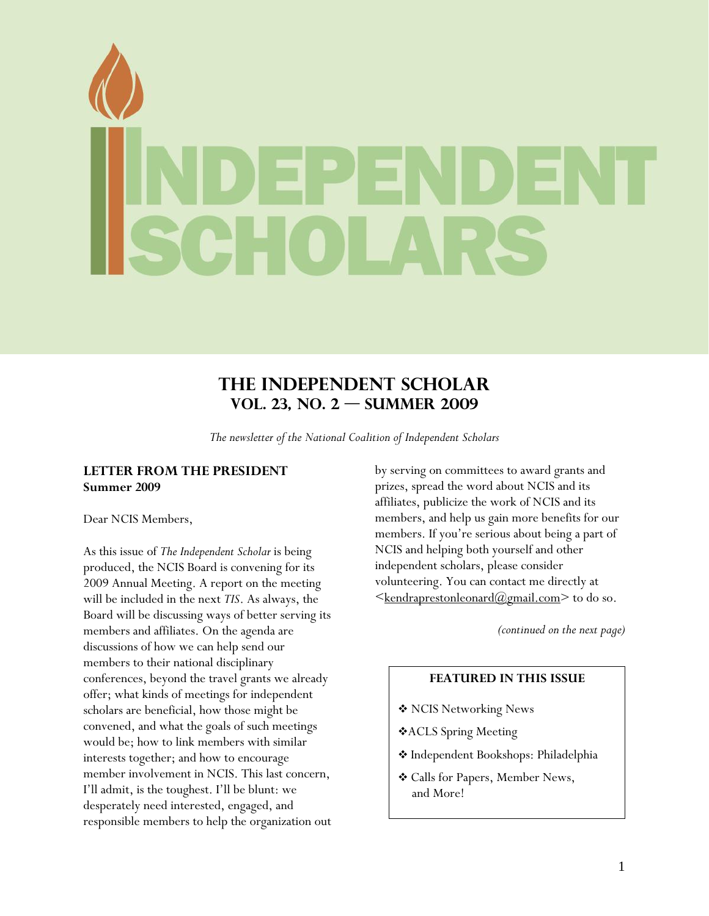# <span id="page-0-0"></span>**The Independent Scholar Vol. 23, No. 2 — SUMMER 2009**

*The newsletter of the National Coalition of Independent Scholars* 

# **LETTER FROM THE PRESIDENT Summer 2009**

Dear NCIS Members,

As this issue of *The Independent Scholar* is being produced, the NCIS Board is convening for its 2009 Annual Meeting. A report on the meeting will be included in the next *TIS*. As always, the Board will be discussing ways of better serving its members and affiliates. On the agenda are discussions of how we can help send our members to their national disciplinary conferences, beyond the travel grants we already offer; what kinds of meetings for independent scholars are beneficial, how those might be convened, and what the goals of such meetings would be; how to link members with similar interests together; and how to encourage member involvement in NCIS. This last concern, I'll admit, is the toughest. I'll be blunt: we desperately need interested, engaged, and responsible members to help the organization out by serving on committees to award grants and prizes, spread the word about NCIS and its affiliates, publicize the work of NCIS and its members, and help us gain more benefits for our members. If you're serious about being a part of NCIS and helping both yourself and other independent scholars, please consider volunteering. You can contact me directly at  $\leq$ <u>kendraprestonleonard@gmail.com</u>> to do so.

*(continued on the next page)* 

# **FEATURED IN THIS ISSUE**

- NCIS Networking News
- ACLS Spring Meeting
- \* Independent Bookshops: Philadelphia
- Calls for Papers, Member News, and More!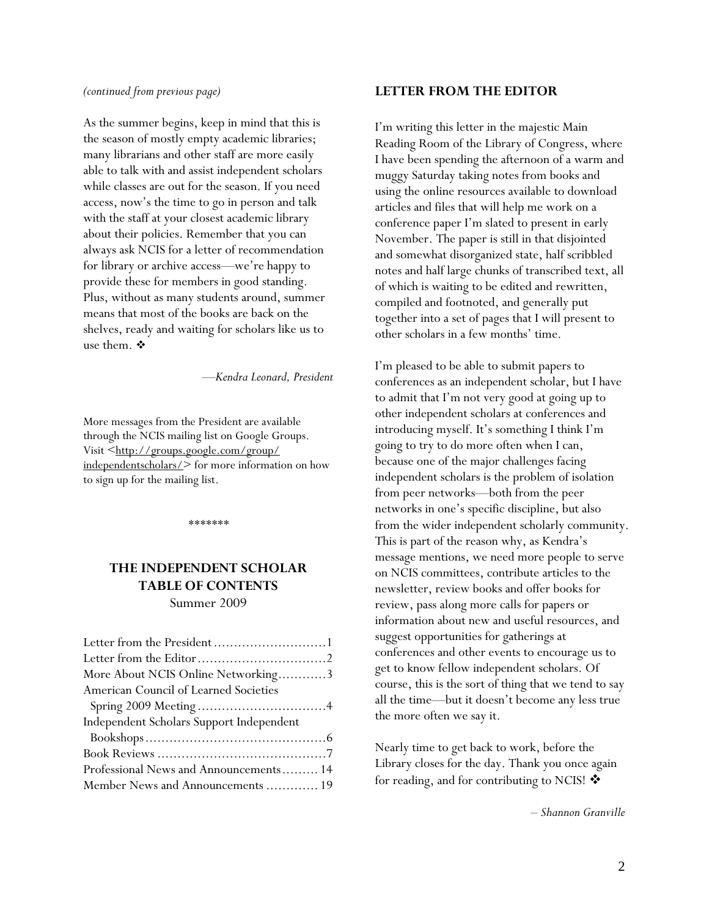#### <span id="page-1-0"></span>*(continued from previous page)*

As the summer begins, keep in mind that this is the season of mostly empty academic libraries; many librarians and other staff are more easily able to talk with and assist independent scholars while classes are out for the season. If you need access, now's the time to go in person and talk with the staff at your closest academic library about their policies. Remember that you can always ask NCIS for a letter of recommendation for library or archive access—we're happy to provide these for members in good standing. Plus, without as many students around, summer means that most of the books are back on the shelves, ready and waiting for scholars like us to use them.  $\mathbf{\hat{P}}$ 

—*Kendra Leonard, President*

More messages from the President are available through the NCIS mailing list on Google Groups. Visit <[http://groups.google.com/group/](http://groups.google.com/group/independentscholars/) [independentscholars/](http://groups.google.com/group/independentscholars/)> for more information on how to sign up for the mailing list.

*\*\*\*\*\*\*\** 

# **THE INDEPENDENT SCHOLAR TABLE OF CONTENTS**

Summer 2009

| Letter from the President1               |
|------------------------------------------|
|                                          |
| More About NCIS Online Networking3       |
| American Council of Learned Societies    |
|                                          |
| Independent Scholars Support Independent |
|                                          |
|                                          |
| Professional News and Announcements 14   |
| Member News and Announcements  19        |

#### **LETTER FROM THE EDITOR**

I'm writing this letter in the majestic Main Reading Room of the Library of Congress, where I have been spending the afternoon of a warm and muggy Saturday taking notes from books and using the online resources available to download articles and files that will help me work on a conference paper I'm slated to present in early November. The paper is still in that disjointed and somewhat disorganized state, half scribbled notes and half large chunks of transcribed text, all of which is waiting to be edited and rewritten, compiled and footnoted, and generally put together into a set of pages that I will present to other scholars in a few months' time.

I'm pleased to be able to submit papers to conferences as an independent scholar, but I have to admit that I'm not very good at going up to other independent scholars at conferences and introducing myself. It's something I think I'm going to try to do more often when I can, because one of the major challenges facing independent scholars is the problem of isolation from peer networks—both from the peer networks in one's specific discipline, but also from the wider independent scholarly community. This is part of the reason why, as Kendra's message mentions, we need more people to serve on NCIS committees, contribute articles to the newsletter, review books and offer books for review, pass along more calls for papers or information about new and useful resources, and suggest opportunities for gatherings at conferences and other events to encourage us to get to know fellow independent scholars. Of course, this is the sort of thing that we tend to say all the time—but it doesn't become any less true the more often we say it.

Nearly time to get back to work, before the Library closes for the day. Thank you once again for reading, and for contributing to NCIS!  $\clubsuit$ 

– *Shannon Granville*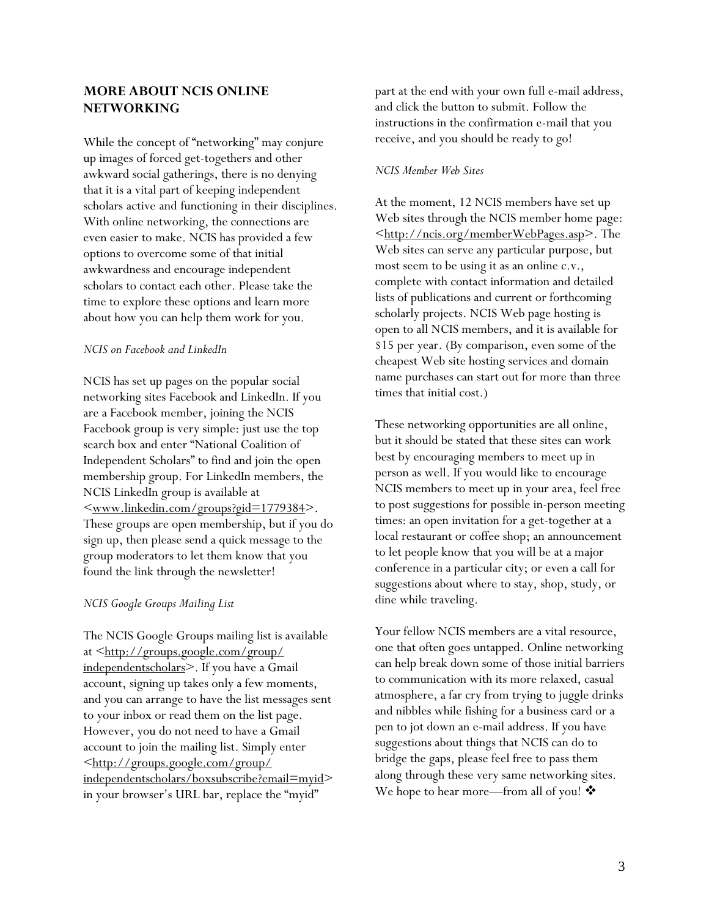# <span id="page-2-0"></span>**MORE ABOUT NCIS ONLINE NETWORKING**

While the concept of "networking" may conjure up images of forced get-togethers and other awkward social gatherings, there is no denying that it is a vital part of keeping independent scholars active and functioning in their disciplines. With online networking, the connections are even easier to make. NCIS has provided a few options to overcome some of that initial awkwardness and encourage independent scholars to contact each other. Please take the time to explore these options and learn more about how you can help them work for you.

#### *NCIS on Facebook and LinkedIn*

NCIS has set up pages on the popular social networking sites Facebook and LinkedIn. If you are a Facebook member, joining the NCIS Facebook group is very simple: just use the top search box and enter "National Coalition of Independent Scholars" to find and join the open membership group. For LinkedIn members, the NCIS LinkedIn group is available at [<www.linkedin.com/groups?gid=1779384>](http://www.linkedin.com/groups?gid=1779384). These groups are open membership, but if you do sign up, then please send a quick message to the group moderators to let them know that you found the link through the newsletter!

#### *NCIS Google Groups Mailing List*

The NCIS Google Groups mailing list is available at <[http://groups.google.com/group/](http://groups.google.com/group/%0Bindependentscholars) [independentscholars](http://groups.google.com/group/%0Bindependentscholars)>. If you have a Gmail account, signing up takes only a few moments, and you can arrange to have the list messages sent to your inbox or read them on the list page. However, you do not need to have a Gmail account to join the mailing list. Simply enter [<http://groups.google.com/group/](http://groups.google.com/group/%0Bindependentscholars/boxsubscribe?email=myid) [independentscholars/boxsubscribe?email=myid>](http://groups.google.com/group/%0Bindependentscholars/boxsubscribe?email=myid) in your browser's URL bar, replace the "myid"

part at the end with your own full e-mail address, and click the button to submit. Follow the instructions in the confirmation e-mail that you receive, and you should be ready to go!

#### *NCIS Member Web Sites*

At the moment, 12 NCIS members have set up Web sites through the NCIS member home page: [<http://ncis.org/memberWebPages.asp>](http://ncis.org/memberWebPages.asp). The Web sites can serve any particular purpose, but most seem to be using it as an online c.v., complete with contact information and detailed lists of publications and current or forthcoming scholarly projects. NCIS Web page hosting is open to all NCIS members, and it is available for \$15 per year. (By comparison, even some of the cheapest Web site hosting services and domain name purchases can start out for more than three times that initial cost.)

These networking opportunities are all online, but it should be stated that these sites can work best by encouraging members to meet up in person as well. If you would like to encourage NCIS members to meet up in your area, feel free to post suggestions for possible in-person meeting times: an open invitation for a get-together at a local restaurant or coffee shop; an announcement to let people know that you will be at a major conference in a particular city; or even a call for suggestions about where to stay, shop, study, or dine while traveling.

Your fellow NCIS members are a vital resource, one that often goes untapped. Online networking can help break down some of those initial barriers to communication with its more relaxed, casual atmosphere, a far cry from trying to juggle drinks and nibbles while fishing for a business card or a pen to jot down an e-mail address. If you have suggestions about things that NCIS can do to bridge the gaps, please feel free to pass them along through these very same networking sites. We hope to hear more—from all of you!  $\clubsuit$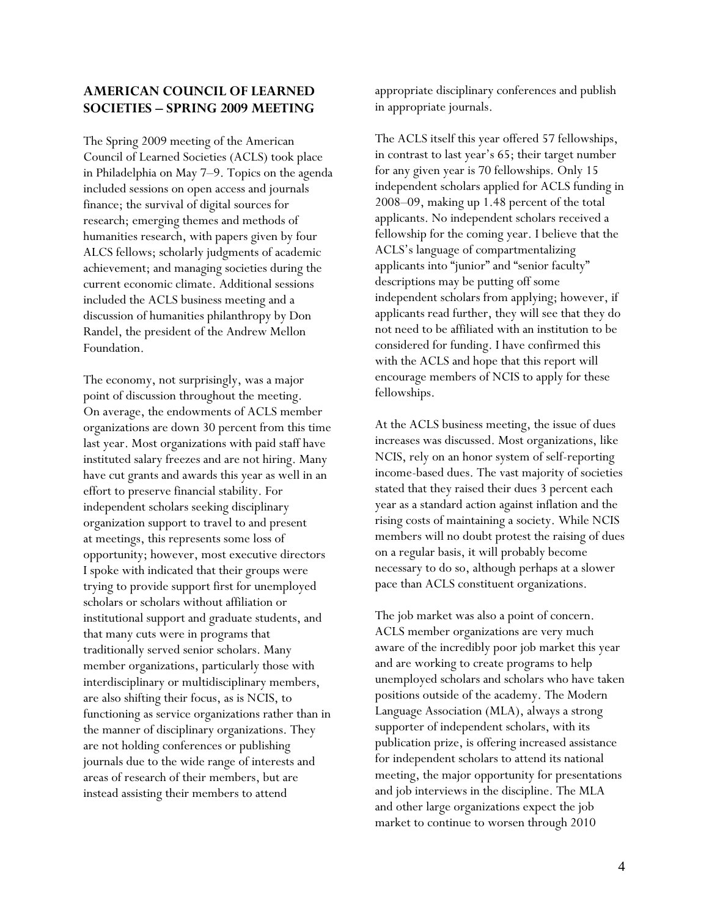# <span id="page-3-0"></span>**AMERICAN COUNCIL OF LEARNED SOCIETIES – SPRING 2009 MEETING**

The Spring 2009 meeting of the American Council of Learned Societies (ACLS) took place in Philadelphia on May 7–9. Topics on the agenda included sessions on open access and journals finance; the survival of digital sources for research; emerging themes and methods of humanities research, with papers given by four ALCS fellows; scholarly judgments of academic achievement; and managing societies during the current economic climate. Additional sessions included the ACLS business meeting and a discussion of humanities philanthropy by Don Randel, the president of the Andrew Mellon Foundation.

The economy, not surprisingly, was a major point of discussion throughout the meeting. On average, the endowments of ACLS member organizations are down 30 percent from this time last year. Most organizations with paid staff have instituted salary freezes and are not hiring. Many have cut grants and awards this year as well in an effort to preserve financial stability. For independent scholars seeking disciplinary organization support to travel to and present at meetings, this represents some loss of opportunity; however, most executive directors I spoke with indicated that their groups were trying to provide support first for unemployed scholars or scholars without affiliation or institutional support and graduate students, and that many cuts were in programs that traditionally served senior scholars. Many member organizations, particularly those with interdisciplinary or multidisciplinary members, are also shifting their focus, as is NCIS, to functioning as service organizations rather than in the manner of disciplinary organizations. They are not holding conferences or publishing journals due to the wide range of interests and areas of research of their members, but are instead assisting their members to attend

appropriate disciplinary conferences and publish in appropriate journals.

The ACLS itself this year offered 57 fellowships, in contrast to last year's 65; their target number for any given year is 70 fellowships. Only 15 independent scholars applied for ACLS funding in 2008–09, making up 1.48 percent of the total applicants. No independent scholars received a fellowship for the coming year. I believe that the ACLS's language of compartmentalizing applicants into "junior" and "senior faculty" descriptions may be putting off some independent scholars from applying; however, if applicants read further, they will see that they do not need to be affiliated with an institution to be considered for funding. I have confirmed this with the ACLS and hope that this report will encourage members of NCIS to apply for these fellowships.

At the ACLS business meeting, the issue of dues increases was discussed. Most organizations, like NCIS, rely on an honor system of self-reporting income-based dues. The vast majority of societies stated that they raised their dues 3 percent each year as a standard action against inflation and the rising costs of maintaining a society. While NCIS members will no doubt protest the raising of dues on a regular basis, it will probably become necessary to do so, although perhaps at a slower pace than ACLS constituent organizations.

The job market was also a point of concern. ACLS member organizations are very much aware of the incredibly poor job market this year and are working to create programs to help unemployed scholars and scholars who have taken positions outside of the academy. The Modern Language Association (MLA), always a strong supporter of independent scholars, with its publication prize, is offering increased assistance for independent scholars to attend its national meeting, the major opportunity for presentations and job interviews in the discipline. The MLA and other large organizations expect the job market to continue to worsen through 2010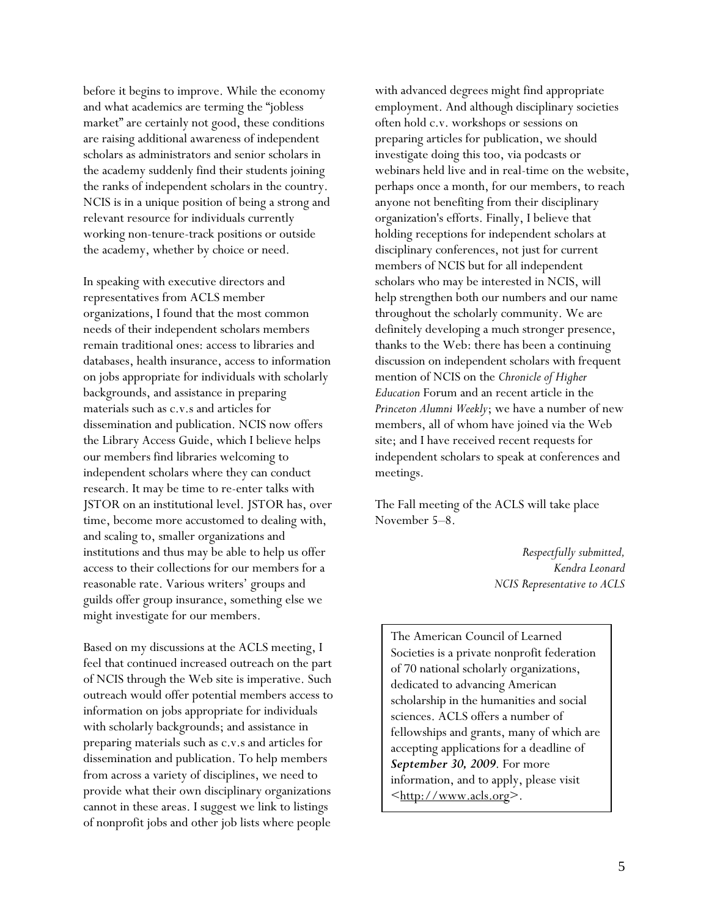before it begins to improve. While the economy and what academics are terming the "jobless market" are certainly not good, these conditions are raising additional awareness of independent scholars as administrators and senior scholars in the academy suddenly find their students joining the ranks of independent scholars in the country. NCIS is in a unique position of being a strong and relevant resource for individuals currently working non-tenure-track positions or outside the academy, whether by choice or need.

In speaking with executive directors and representatives from ACLS member organizations, I found that the most common needs of their independent scholars members remain traditional ones: access to libraries and databases, health insurance, access to information on jobs appropriate for individuals with scholarly backgrounds, and assistance in preparing materials such as c.v.s and articles for dissemination and publication. NCIS now offers the Library Access Guide, which I believe helps our members find libraries welcoming to independent scholars where they can conduct research. It may be time to re-enter talks with JSTOR on an institutional level. JSTOR has, over time, become more accustomed to dealing with, and scaling to, smaller organizations and institutions and thus may be able to help us offer access to their collections for our members for a reasonable rate. Various writers' groups and guilds offer group insurance, something else we might investigate for our members.

Based on my discussions at the ACLS meeting, I feel that continued increased outreach on the part of NCIS through the Web site is imperative. Such outreach would offer potential members access to information on jobs appropriate for individuals with scholarly backgrounds; and assistance in preparing materials such as c.v.s and articles for dissemination and publication. To help members from across a variety of disciplines, we need to provide what their own disciplinary organizations cannot in these areas. I suggest we link to listings of nonprofit jobs and other job lists where people

with advanced degrees might find appropriate employment. And although disciplinary societies often hold c.v. workshops or sessions on preparing articles for publication, we should investigate doing this too, via podcasts or webinars held live and in real-time on the website, perhaps once a month, for our members, to reach anyone not benefiting from their disciplinary organization's efforts. Finally, I believe that holding receptions for independent scholars at disciplinary conferences, not just for current members of NCIS but for all independent scholars who may be interested in NCIS, will help strengthen both our numbers and our name throughout the scholarly community. We are definitely developing a much stronger presence, thanks to the Web: there has been a continuing discussion on independent scholars with frequent mention of NCIS on the *Chronicle of Higher Education* Forum and an recent article in the *Princeton Alumni Weekly*; we have a number of new members, all of whom have joined via the Web site; and I have received recent requests for independent scholars to speak at conferences and meetings.

The Fall meeting of the ACLS will take place November 5–8.

> *Respectfully submitted, Kendra Leonard NCIS Representative to ACLS*

The American Council of Learned Societies is a private nonprofit federation of 70 national scholarly organizations, dedicated to advancing American scholarship in the humanities and social sciences. ACLS offers a number of fellowships and grants, many of which are accepting applications for a deadline of *September 30, 2009*. For more information, and to apply, please visit  $\langle \frac{\text{http://www.acls.org}}{$  $\langle \frac{\text{http://www.acls.org}}{$  $\langle \frac{\text{http://www.acls.org}}{$ .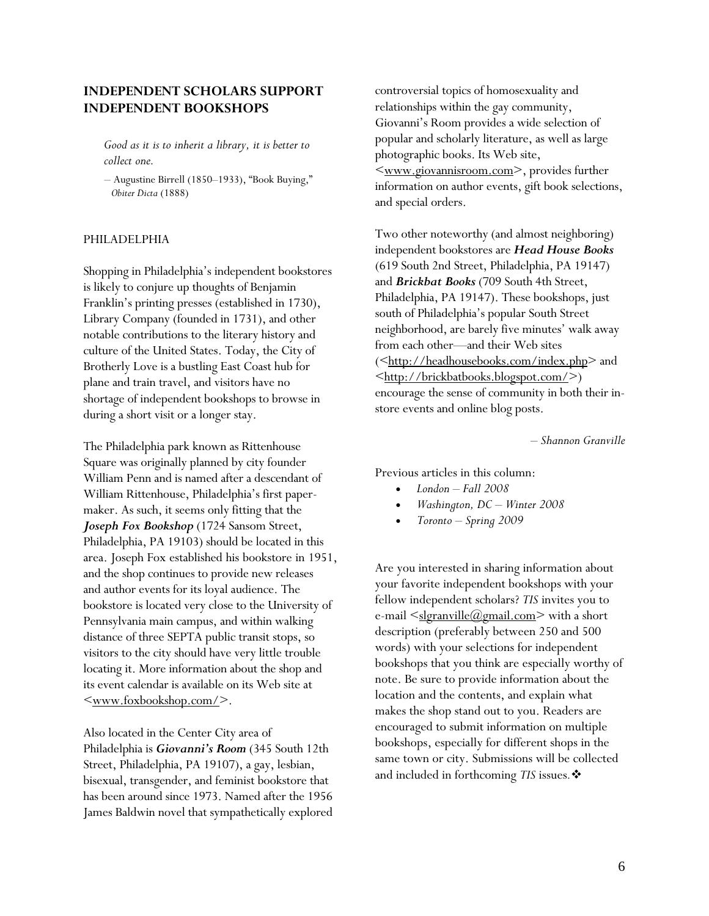# <span id="page-5-0"></span>**INDEPENDENT SCHOLARS SUPPORT INDEPENDENT BOOKSHOPS**

*Good as it is to inherit a library, it is better to collect one.* 

*–* Augustine Birrell (1850–1933), "Book Buying,"  *Obiter Dicta* (1888)

### PHILADELPHIA

Shopping in Philadelphia's independent bookstores is likely to conjure up thoughts of Benjamin Franklin's printing presses (established in 1730), Library Company (founded in 1731), and other notable contributions to the literary history and culture of the United States. Today, the City of Brotherly Love is a bustling East Coast hub for plane and train travel, and visitors have no shortage of independent bookshops to browse in during a short visit or a longer stay.

The Philadelphia park known as Rittenhouse Square was originally planned by city founder William Penn and is named after a descendant of William Rittenhouse, Philadelphia's first papermaker. As such, it seems only fitting that the *Joseph Fox Bookshop* (1724 Sansom Street, Philadelphia, PA 19103) should be located in this area. Joseph Fox established his bookstore in 1951, and the shop continues to provide new releases and author events for its loyal audience. The bookstore is located very close to the University of Pennsylvania main campus, and within walking distance of three SEPTA public transit stops, so visitors to the city should have very little trouble locating it. More information about the shop and its event calendar is available on its Web site at  $\langle$ www.foxbookshop.com/ $>$ .

Also located in the Center City area of Philadelphia is *Giovanni's Room* (345 South 12th Street, Philadelphia, PA 19107), a gay, lesbian, bisexual, transgender, and feminist bookstore that has been around since 1973. Named after the 1956 James Baldwin novel that sympathetically explored controversial topics of homosexuality and relationships within the gay community, Giovanni's Room provides a wide selection of popular and scholarly literature, as well as large photographic books. Its Web site, [<www.giovannisroom.com>](http://www.giovannisroom.com/), provides further information on author events, gift book selections, and special orders.

Two other noteworthy (and almost neighboring) independent bookstores are *Head House Books* (619 South 2nd Street, Philadelphia, PA 19147) and *Brickbat Books* (709 South 4th Street, Philadelphia, PA 19147). These bookshops, just south of Philadelphia's popular South Street neighborhood, are barely five minutes' walk away from each other—and their Web sites (<[http://headhousebooks.com/index.php>](http://headhousebooks.com/index.php) and  $\langle \frac{\text{http://brickbatbooks.blogspot.com/}}{\text{http://brickbatbooks.blogspot.com/}} \rangle$ encourage the sense of community in both their instore events and online blog posts.

*– Shannon Granville* 

Previous articles in this column:

- *London Fall 2008*
- *Washington, DC Winter 2008*
- *Toronto Spring 2009*

Are you interested in sharing information about your favorite independent bookshops with your fellow independent scholars? *TIS* invites you to e-mail  $\leq$ [slgranville@gmail.com>](mailto:slgranville@gmail.com) with a short description (preferably between 250 and 500 words) with your selections for independent bookshops that you think are especially worthy of note. Be sure to provide information about the location and the contents, and explain what makes the shop stand out to you. Readers are encouraged to submit information on multiple bookshops, especially for different shops in the same town or city. Submissions will be collected and included in forthcoming *TIS* issues*.*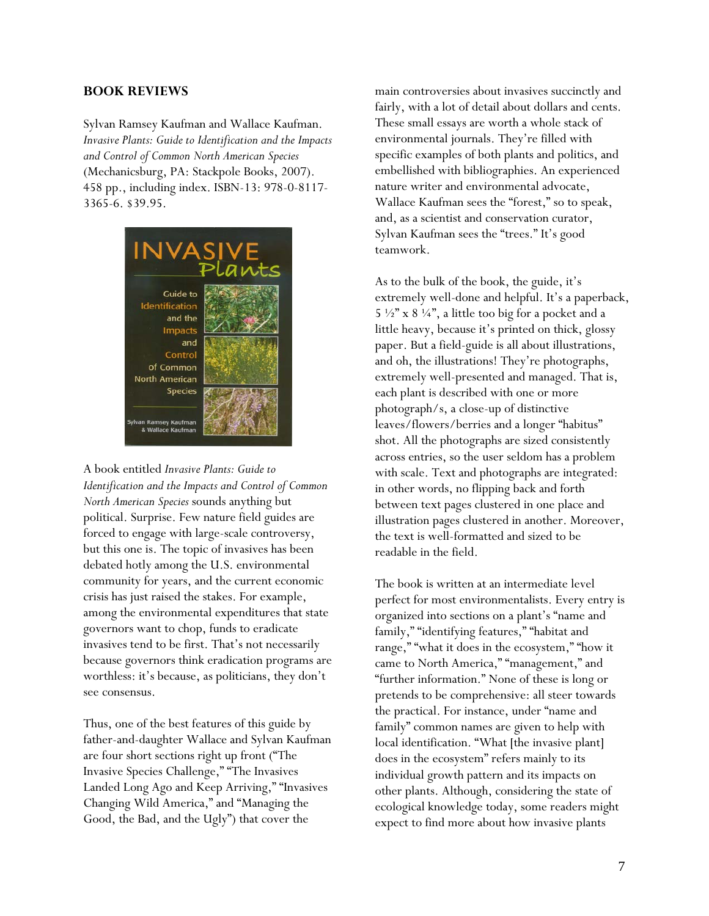### <span id="page-6-0"></span>**BOOK REVIEWS**

Sylvan Ramsey Kaufman and Wallace Kaufman. *Invasive Plants: Guide to Identification and the Impacts and Control of Common North American Species* (Mechanicsburg, PA: Stackpole Books, 2007). 458 pp., including index. ISBN-13: 978-0-8117- 3365-6. \$39.95.



A book entitled *Invasive Plants: Guide to Identification and the Impacts and Control of Common North American Species* sounds anything but political. Surprise. Few nature field guides are forced to engage with large-scale controversy, but this one is. The topic of invasives has been debated hotly among the U.S. environmental community for years, and the current economic crisis has just raised the stakes. For example, among the environmental expenditures that state governors want to chop, funds to eradicate invasives tend to be first. That's not necessarily because governors think eradication programs are worthless: it's because, as politicians, they don't see consensus.

Thus, one of the best features of this guide by father-and-daughter Wallace and Sylvan Kaufman are four short sections right up front ("The Invasive Species Challenge," "The Invasives Landed Long Ago and Keep Arriving," "Invasives Changing Wild America," and "Managing the Good, the Bad, and the Ugly") that cover the

main controversies about invasives succinctly and fairly, with a lot of detail about dollars and cents. These small essays are worth a whole stack of environmental journals. They're filled with specific examples of both plants and politics, and embellished with bibliographies. An experienced nature writer and environmental advocate, Wallace Kaufman sees the "forest," so to speak, and, as a scientist and conservation curator, Sylvan Kaufman sees the "trees." It's good teamwork.

As to the bulk of the book, the guide, it's extremely well-done and helpful. It's a paperback,  $5\frac{1}{2}$ " x  $8\frac{1}{4}$ ", a little too big for a pocket and a little heavy, because it's printed on thick, glossy paper. But a field-guide is all about illustrations, and oh, the illustrations! They're photographs, extremely well-presented and managed. That is, each plant is described with one or more photograph/s, a close-up of distinctive leaves/flowers/berries and a longer "habitus" shot. All the photographs are sized consistently across entries, so the user seldom has a problem with scale. Text and photographs are integrated: in other words, no flipping back and forth between text pages clustered in one place and illustration pages clustered in another. Moreover, the text is well-formatted and sized to be readable in the field.

The book is written at an intermediate level perfect for most environmentalists. Every entry is organized into sections on a plant's "name and family," "identifying features," "habitat and range," "what it does in the ecosystem," "how it came to North America," "management," and "further information." None of these is long or pretends to be comprehensive: all steer towards the practical. For instance, under "name and family" common names are given to help with local identification. "What [the invasive plant] does in the ecosystem" refers mainly to its individual growth pattern and its impacts on other plants. Although, considering the state of ecological knowledge today, some readers might expect to find more about how invasive plants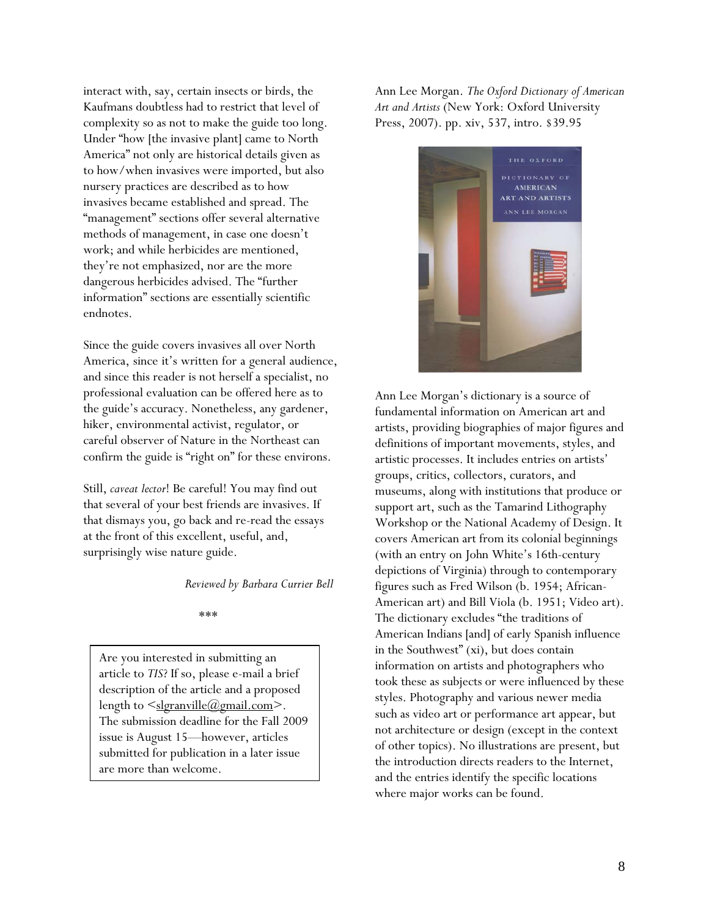interact with, say, certain insects or birds, the Kaufmans doubtless had to restrict that level of complexity so as not to make the guide too long. Under "how [the invasive plant] came to North America" not only are historical details given as to how/when invasives were imported, but also nursery practices are described as to how invasives became established and spread. The "management" sections offer several alternative methods of management, in case one doesn't work; and while herbicides are mentioned, they're not emphasized, nor are the more dangerous herbicides advised. The "further information" sections are essentially scientific endnotes.

Since the guide covers invasives all over North America, since it's written for a general audience, and since this reader is not herself a specialist, no professional evaluation can be offered here as to the guide's accuracy. Nonetheless, any gardener, hiker, environmental activist, regulator, or careful observer of Nature in the Northeast can confirm the guide is "right on" for these environs.

Still, *caveat lector*! Be careful! You may find out that several of your best friends are invasives. If that dismays you, go back and re-read the essays at the front of this excellent, useful, and, surprisingly wise nature guide.

*Reviewed by Barbara Currier Bell* 

\*\*\*

Are you interested in submitting an article to *TIS*? If so, please e-mail a brief description of the article and a proposed length to  $\leq$ slgranville@gmail.com>. The submission deadline for the Fall 2009 issue is August 15—however, articles submitted for publication in a later issue are more than welcome.

Ann Lee Morgan. *The Oxford Dictionary of American Art and Artists* (New York: Oxford University Press, 2007). pp. xiv, 537, intro. \$39.95



Ann Lee Morgan's dictionary is a source of fundamental information on American art and artists, providing biographies of major figures and definitions of important movements, styles, and artistic processes. It includes entries on artists' groups, critics, collectors, curators, and museums, along with institutions that produce or support art, such as the Tamarind Lithography Workshop or the National Academy of Design. It covers American art from its colonial beginnings (with an entry on John White's 16th-century depictions of Virginia) through to contemporary figures such as Fred Wilson (b. 1954; African-American art) and Bill Viola (b. 1951; Video art). The dictionary excludes "the traditions of American Indians [and] of early Spanish influence in the Southwest" (xi), but does contain information on artists and photographers who took these as subjects or were influenced by these styles. Photography and various newer media such as video art or performance art appear, but not architecture or design (except in the context of other topics). No illustrations are present, but the introduction directs readers to the Internet, and the entries identify the specific locations where major works can be found.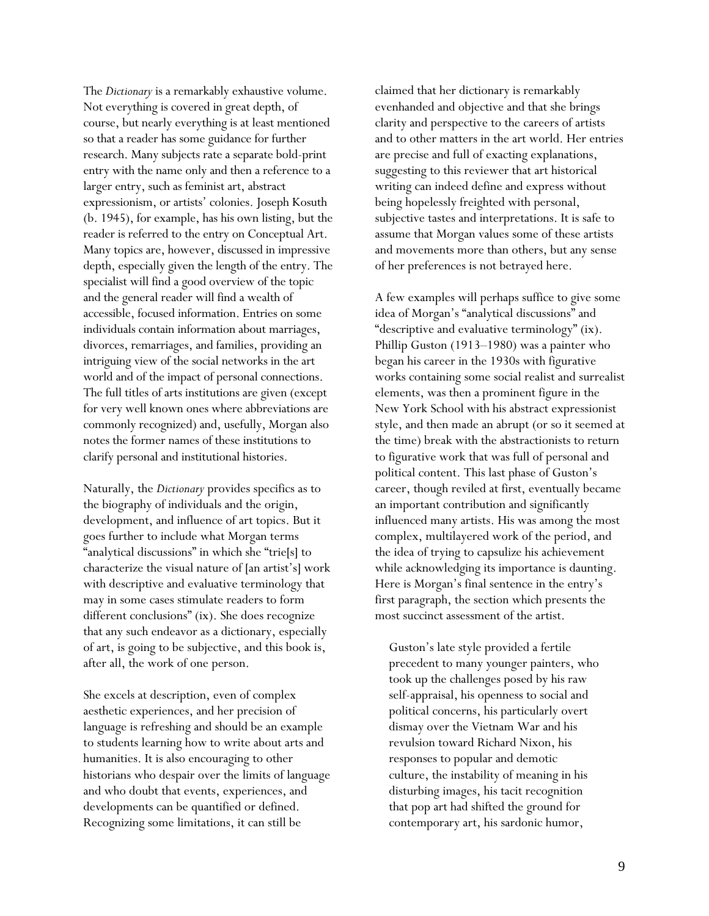The *Dictionary* is a remarkably exhaustive volume. Not everything is covered in great depth, of course, but nearly everything is at least mentioned so that a reader has some guidance for further research. Many subjects rate a separate bold-print entry with the name only and then a reference to a larger entry, such as feminist art, abstract expressionism, or artists' colonies. Joseph Kosuth (b. 1945), for example, has his own listing, but the reader is referred to the entry on Conceptual Art. Many topics are, however, discussed in impressive depth, especially given the length of the entry. The specialist will find a good overview of the topic and the general reader will find a wealth of accessible, focused information. Entries on some individuals contain information about marriages, divorces, remarriages, and families, providing an intriguing view of the social networks in the art world and of the impact of personal connections. The full titles of arts institutions are given (except for very well known ones where abbreviations are commonly recognized) and, usefully, Morgan also notes the former names of these institutions to clarify personal and institutional histories.

Naturally, the *Dictionary* provides specifics as to the biography of individuals and the origin, development, and influence of art topics. But it goes further to include what Morgan terms "analytical discussions" in which she "trie[s] to characterize the visual nature of [an artist's] work with descriptive and evaluative terminology that may in some cases stimulate readers to form different conclusions" (ix). She does recognize that any such endeavor as a dictionary, especially of art, is going to be subjective, and this book is, after all, the work of one person.

She excels at description, even of complex aesthetic experiences, and her precision of language is refreshing and should be an example to students learning how to write about arts and humanities. It is also encouraging to other historians who despair over the limits of language and who doubt that events, experiences, and developments can be quantified or defined. Recognizing some limitations, it can still be

claimed that her dictionary is remarkably evenhanded and objective and that she brings clarity and perspective to the careers of artists and to other matters in the art world. Her entries are precise and full of exacting explanations, suggesting to this reviewer that art historical writing can indeed define and express without being hopelessly freighted with personal, subjective tastes and interpretations. It is safe to assume that Morgan values some of these artists and movements more than others, but any sense of her preferences is not betrayed here.

A few examples will perhaps suffice to give some idea of Morgan's "analytical discussions" and "descriptive and evaluative terminology" (ix). Phillip Guston (1913–1980) was a painter who began his career in the 1930s with figurative works containing some social realist and surrealist elements, was then a prominent figure in the New York School with his abstract expressionist style, and then made an abrupt (or so it seemed at the time) break with the abstractionists to return to figurative work that was full of personal and political content. This last phase of Guston's career, though reviled at first, eventually became an important contribution and significantly influenced many artists. His was among the most complex, multilayered work of the period, and the idea of trying to capsulize his achievement while acknowledging its importance is daunting. Here is Morgan's final sentence in the entry's first paragraph, the section which presents the most succinct assessment of the artist.

Guston's late style provided a fertile precedent to many younger painters, who took up the challenges posed by his raw self-appraisal, his openness to social and political concerns, his particularly overt dismay over the Vietnam War and his revulsion toward Richard Nixon, his responses to popular and demotic culture, the instability of meaning in his disturbing images, his tacit recognition that pop art had shifted the ground for contemporary art, his sardonic humor,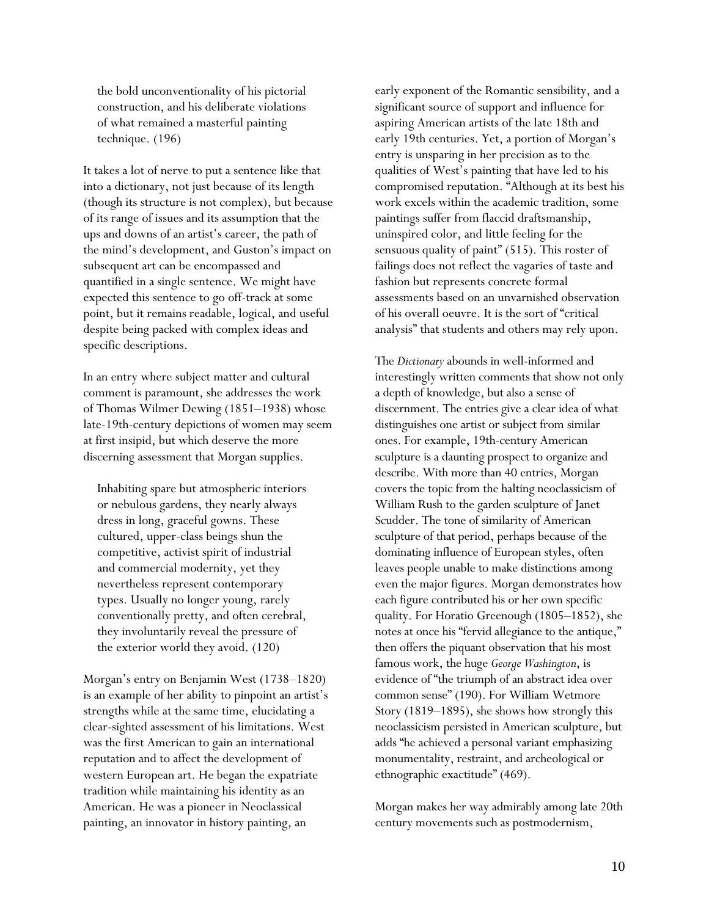the bold unconventionality of his pictorial construction, and his deliberate violations of what remained a masterful painting technique. (196)

It takes a lot of nerve to put a sentence like that into a dictionary, not just because of its length (though its structure is not complex), but because of its range of issues and its assumption that the ups and downs of an artist's career, the path of the mind's development, and Guston's impact on subsequent art can be encompassed and quantified in a single sentence. We might have expected this sentence to go off-track at some point, but it remains readable, logical, and useful despite being packed with complex ideas and specific descriptions.

In an entry where subject matter and cultural comment is paramount, she addresses the work of Thomas Wilmer Dewing (1851–1938) whose late-19th-century depictions of women may seem at first insipid, but which deserve the more discerning assessment that Morgan supplies.

Inhabiting spare but atmospheric interiors or nebulous gardens, they nearly always dress in long, graceful gowns. These cultured, upper-class beings shun the competitive, activist spirit of industrial and commercial modernity, yet they nevertheless represent contemporary types. Usually no longer young, rarely conventionally pretty, and often cerebral, they involuntarily reveal the pressure of the exterior world they avoid. (120)

Morgan's entry on Benjamin West (1738–1820) is an example of her ability to pinpoint an artist's strengths while at the same time, elucidating a clear-sighted assessment of his limitations. West was the first American to gain an international reputation and to affect the development of western European art. He began the expatriate tradition while maintaining his identity as an American. He was a pioneer in Neoclassical painting, an innovator in history painting, an

early exponent of the Romantic sensibility, and a significant source of support and influence for aspiring American artists of the late 18th and early 19th centuries. Yet, a portion of Morgan's entry is unsparing in her precision as to the qualities of West's painting that have led to his compromised reputation. "Although at its best his work excels within the academic tradition, some paintings suffer from flaccid draftsmanship, uninspired color, and little feeling for the sensuous quality of paint" (515). This roster of failings does not reflect the vagaries of taste and fashion but represents concrete formal assessments based on an unvarnished observation of his overall oeuvre. It is the sort of "critical analysis" that students and others may rely upon.

The *Dictionary* abounds in well-informed and interestingly written comments that show not only a depth of knowledge, but also a sense of discernment. The entries give a clear idea of what distinguishes one artist or subject from similar ones. For example, 19th-century American sculpture is a daunting prospect to organize and describe. With more than 40 entries, Morgan covers the topic from the halting neoclassicism of William Rush to the garden sculpture of Janet Scudder. The tone of similarity of American sculpture of that period, perhaps because of the dominating influence of European styles, often leaves people unable to make distinctions among even the major figures. Morgan demonstrates how each figure contributed his or her own specific quality. For Horatio Greenough (1805–1852), she notes at once his "fervid allegiance to the antique," then offers the piquant observation that his most famous work, the huge *George Washington*, is evidence of "the triumph of an abstract idea over common sense" (190). For William Wetmore Story (1819–1895), she shows how strongly this neoclassicism persisted in American sculpture, but adds "he achieved a personal variant emphasizing monumentality, restraint, and archeological or ethnographic exactitude" (469).

Morgan makes her way admirably among late 20th century movements such as postmodernism,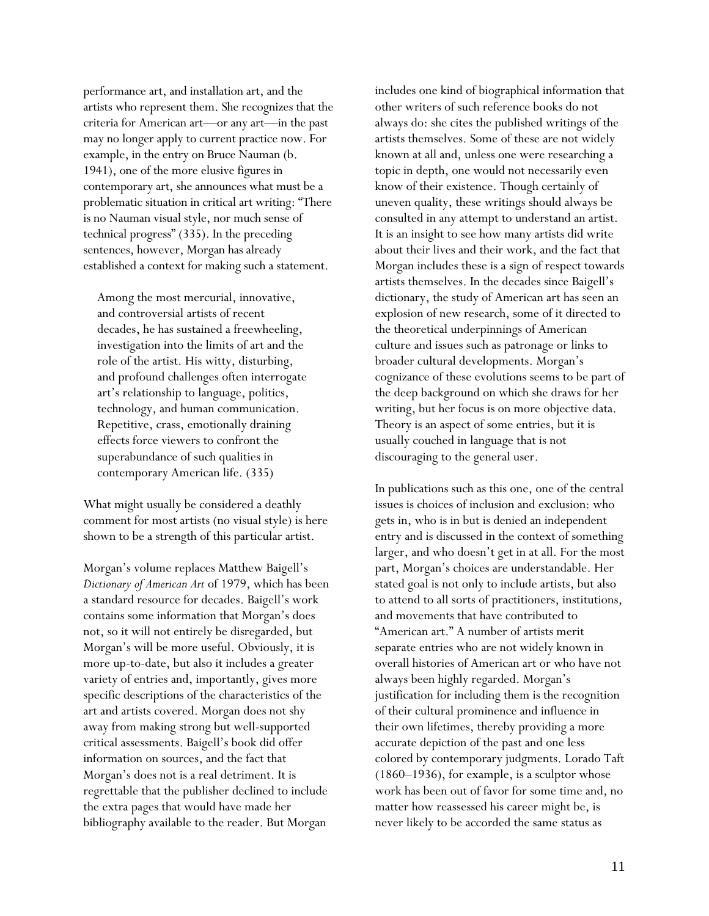performance art, and installation art, and the artists who represent them. She recognizes that the criteria for American art—or any art—in the past may no longer apply to current practice now. For example, in the entry on Bruce Nauman (b. 1941), one of the more elusive figures in contemporary art, she announces what must be a problematic situation in critical art writing: "There is no Nauman visual style, nor much sense of technical progress" (335). In the preceding sentences, however, Morgan has already established a context for making such a statement.

Among the most mercurial, innovative, and controversial artists of recent decades, he has sustained a freewheeling, investigation into the limits of art and the role of the artist. His witty, disturbing, and profound challenges often interrogate art's relationship to language, politics, technology, and human communication. Repetitive, crass, emotionally draining effects force viewers to confront the superabundance of such qualities in contemporary American life. (335)

What might usually be considered a deathly comment for most artists (no visual style) is here shown to be a strength of this particular artist.

Morgan's volume replaces Matthew Baigell's *Dictionary of American Art* of 1979, which has been a standard resource for decades. Baigell's work contains some information that Morgan's does not, so it will not entirely be disregarded, but Morgan's will be more useful. Obviously, it is more up-to-date, but also it includes a greater variety of entries and, importantly, gives more specific descriptions of the characteristics of the art and artists covered. Morgan does not shy away from making strong but well-supported critical assessments. Baigell's book did offer information on sources, and the fact that Morgan's does not is a real detriment. It is regrettable that the publisher declined to include the extra pages that would have made her bibliography available to the reader. But Morgan

includes one kind of biographical information that other writers of such reference books do not always do: she cites the published writings of the artists themselves. Some of these are not widely known at all and, unless one were researching a topic in depth, one would not necessarily even know of their existence. Though certainly of uneven quality, these writings should always be consulted in any attempt to understand an artist. It is an insight to see how many artists did write about their lives and their work, and the fact that Morgan includes these is a sign of respect towards artists themselves. In the decades since Baigell's dictionary, the study of American art has seen an explosion of new research, some of it directed to the theoretical underpinnings of American culture and issues such as patronage or links to broader cultural developments. Morgan's cognizance of these evolutions seems to be part of the deep background on which she draws for her writing, but her focus is on more objective data. Theory is an aspect of some entries, but it is usually couched in language that is not discouraging to the general user.

In publications such as this one, one of the central issues is choices of inclusion and exclusion: who gets in, who is in but is denied an independent entry and is discussed in the context of something larger, and who doesn't get in at all. For the most part, Morgan's choices are understandable. Her stated goal is not only to include artists, but also to attend to all sorts of practitioners, institutions, and movements that have contributed to "American art." A number of artists merit separate entries who are not widely known in overall histories of American art or who have not always been highly regarded. Morgan's justification for including them is the recognition of their cultural prominence and influence in their own lifetimes, thereby providing a more accurate depiction of the past and one less colored by contemporary judgments. Lorado Taft (1860–1936), for example, is a sculptor whose work has been out of favor for some time and, no matter how reassessed his career might be, is never likely to be accorded the same status as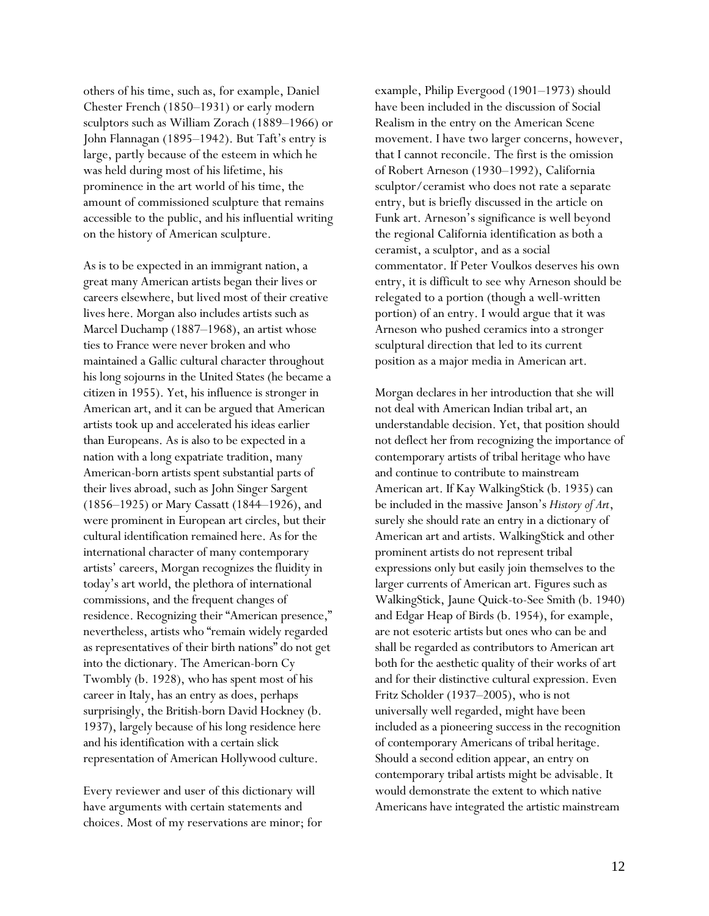others of his time, such as, for example, Daniel Chester French (1850–1931) or early modern sculptors such as William Zorach (1889–1966) or John Flannagan (1895–1942). But Taft's entry is large, partly because of the esteem in which he was held during most of his lifetime, his prominence in the art world of his time, the amount of commissioned sculpture that remains accessible to the public, and his influential writing on the history of American sculpture.

As is to be expected in an immigrant nation, a great many American artists began their lives or careers elsewhere, but lived most of their creative lives here. Morgan also includes artists such as Marcel Duchamp (1887–1968), an artist whose ties to France were never broken and who maintained a Gallic cultural character throughout his long sojourns in the United States (he became a citizen in 1955). Yet, his influence is stronger in American art, and it can be argued that American artists took up and accelerated his ideas earlier than Europeans. As is also to be expected in a nation with a long expatriate tradition, many American-born artists spent substantial parts of their lives abroad, such as John Singer Sargent (1856–1925) or Mary Cassatt (1844–1926), and were prominent in European art circles, but their cultural identification remained here. As for the international character of many contemporary artists' careers, Morgan recognizes the fluidity in today's art world, the plethora of international commissions, and the frequent changes of residence. Recognizing their "American presence," nevertheless, artists who "remain widely regarded as representatives of their birth nations" do not get into the dictionary. The American-born Cy Twombly (b. 1928), who has spent most of his career in Italy, has an entry as does, perhaps surprisingly, the British-born David Hockney (b. 1937), largely because of his long residence here and his identification with a certain slick representation of American Hollywood culture.

Every reviewer and user of this dictionary will have arguments with certain statements and choices. Most of my reservations are minor; for example, Philip Evergood (1901–1973) should have been included in the discussion of Social Realism in the entry on the American Scene movement. I have two larger concerns, however, that I cannot reconcile. The first is the omission of Robert Arneson (1930–1992), California sculptor/ceramist who does not rate a separate entry, but is briefly discussed in the article on Funk art. Arneson's significance is well beyond the regional California identification as both a ceramist, a sculptor, and as a social commentator. If Peter Voulkos deserves his own entry, it is difficult to see why Arneson should be relegated to a portion (though a well-written portion) of an entry. I would argue that it was Arneson who pushed ceramics into a stronger sculptural direction that led to its current position as a major media in American art.

Morgan declares in her introduction that she will not deal with American Indian tribal art, an understandable decision. Yet, that position should not deflect her from recognizing the importance of contemporary artists of tribal heritage who have and continue to contribute to mainstream American art. If Kay WalkingStick (b. 1935) can be included in the massive Janson's *History of Art*, surely she should rate an entry in a dictionary of American art and artists. WalkingStick and other prominent artists do not represent tribal expressions only but easily join themselves to the larger currents of American art. Figures such as WalkingStick, Jaune Quick-to-See Smith (b. 1940) and Edgar Heap of Birds (b. 1954), for example, are not esoteric artists but ones who can be and shall be regarded as contributors to American art both for the aesthetic quality of their works of art and for their distinctive cultural expression. Even Fritz Scholder (1937–2005), who is not universally well regarded, might have been included as a pioneering success in the recognition of contemporary Americans of tribal heritage. Should a second edition appear, an entry on contemporary tribal artists might be advisable. It would demonstrate the extent to which native Americans have integrated the artistic mainstream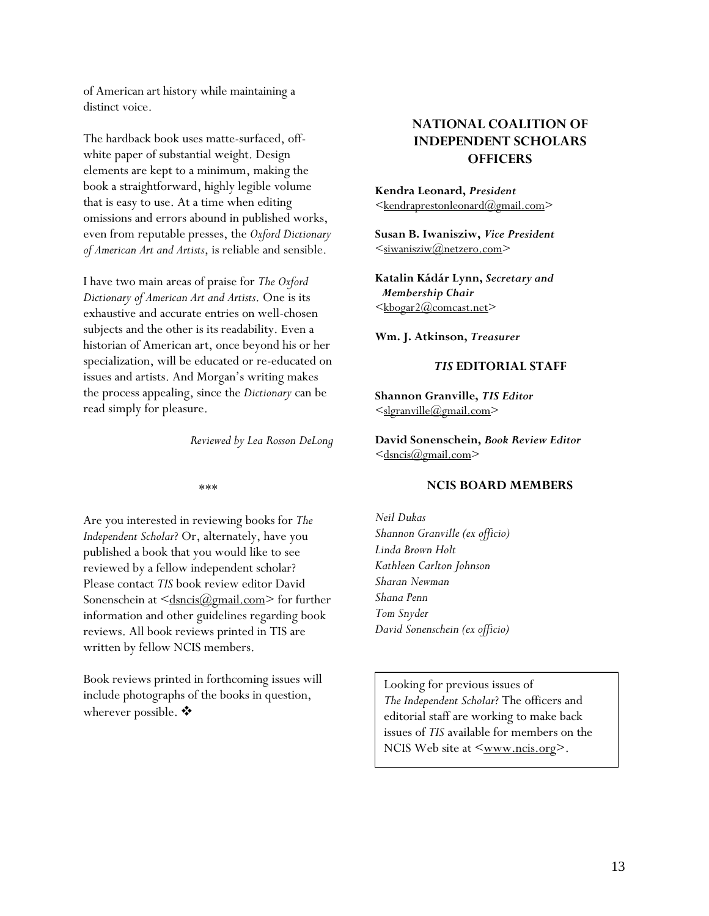of American art history while maintaining a distinct voice.

The hardback book uses matte-surfaced, off- **INDEPENDENT SCHOLARS**  white paper of substantial weight. Design elements are kept to a minimum, making the book a straightforward, highly legible volume that is easy to use. At a time when editing omissions and errors abound in published works, even from reputable presses, the *Oxford Dictionary of American Art and Artists*, is reliable and sensible.

*Matalin Kadar Lynis Membership Chair Distinguy of American Art and Artists* One is its *Membership Chair Dictionary of American Art and Artists*. One is its exhaustive and accurate entries on well-chosen subjects and the other is its readability. Even a historian of American art, once beyond his or her specialization, will be educated or re-educated on issues and artists. And Morgan's writing makes the process appealing, since the *Dictionary* can be read simply for pleasure.

Are you interested in reviewing books for *The Neil Dukas Independent Scholar*? Or, alternately, have you published a book that you would like to see reviewed by a fellow independent scholar? Please contact *TIS* book review editor David Sonenschein at  $\langle \frac{d_{\text{smcis}}(a_{\text{gmail.com}})}{d_{\text{smic}}(a_{\text{gmail.com}})}$  for further information and other guidelines regarding book reviews. All book reviews printed in TIS are written by fellow NCIS members.

Book reviews printed in forthcoming issues will include photographs of the books in question, wherever possible.  $\clubsuit$ 

# **NATIONAL COALITION OF OFFICERS**

**Kendra Leonard,** *President*  $\leq$ kendraprestonleonard $@g$ mail.com $>$ 

**Susan B. Iwanisziw,** *Vice President*   $\leq$ siwanisziw $@$ netzero.com $>$ 

**Katalin Kádár Lynn,** *Secretary and*  <kbogar2@comcast.net>

**Wm. J. Atkinson,** *Treasurer*

#### *TIS* **EDITORIAL STAFF**

**Shannon Granville,** *TIS Editor* <slgranville@gmail.com>

*Reviewed by Lea Rosson DeLong* **David Sonenschein,** *Book Review Editor*  $\leq$ dsncis $\omega$ gmail.com>

#### \*\*\* **NCIS BOARD MEMBERS**

*Shannon Granville (ex officio) Linda Brown Holt Kathleen Carlton Johnson Sharan Newman Shana Penn Tom Snyder David Sonenschein (ex officio)* 

Looking for previous issues of *The Independent Scholar*? The officers and editorial staff are working to make back issues of *TIS* available for members on the NCIS Web site at  $\leq_{\text{www.ncis.org}}$ .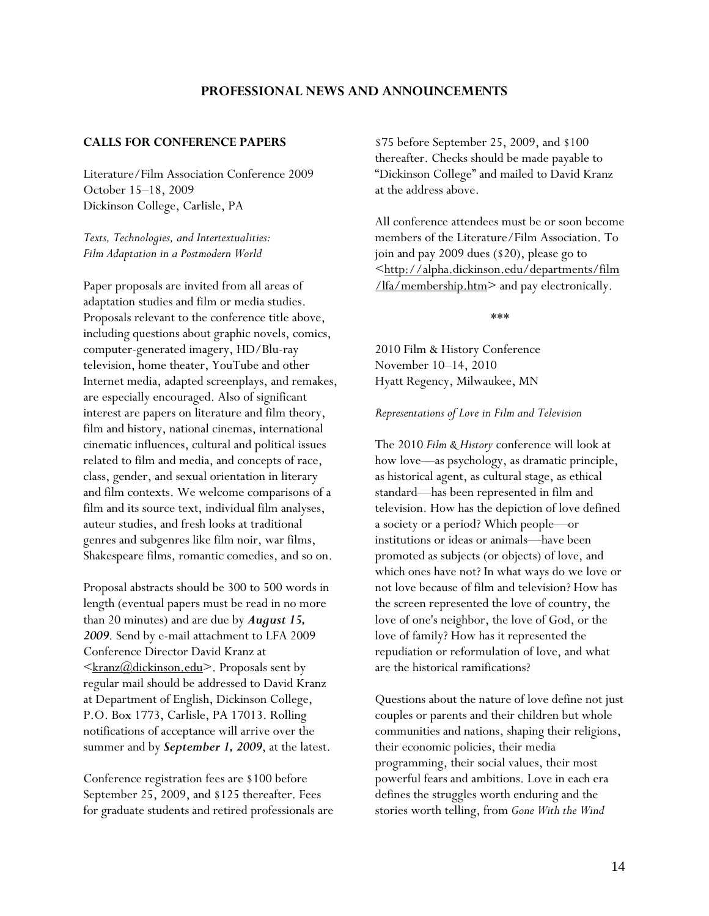# **PROFESSIONAL NEWS AND ANNOUNCEMENTS**

### <span id="page-13-0"></span>**CALLS FOR CONFERENCE PAPERS**

Literature/Film Association Conference 2009 October 15–18, 2009 Dickinson College, Carlisle, PA

*Texts, Technologies, and Intertextualities: Film Adaptation in a Postmodern World* 

Paper proposals are invited from all areas of adaptation studies and film or media studies. Proposals relevant to the conference title above, including questions about graphic novels, comics, computer-generated imagery, HD/Blu-ray television, home theater, YouTube and other Internet media, adapted screenplays, and remakes, are especially encouraged. Also of significant interest are papers on literature and film theory, film and history, national cinemas, international cinematic influences, cultural and political issues related to film and media, and concepts of race, class, gender, and sexual orientation in literary and film contexts. We welcome comparisons of a film and its source text, individual film analyses, auteur studies, and fresh looks at traditional genres and subgenres like film noir, war films, Shakespeare films, romantic comedies, and so on.

Proposal abstracts should be 300 to 500 words in length (eventual papers must be read in no more than 20 minutes) and are due by *August 15, 2009*. Send by e-mail attachment to LFA 2009 Conference Director David Kranz at  $\langle k_{\text{ranz}}(a)\rangle$ dickinson.edu>. Proposals sent by regular mail should be addressed to David Kranz at Department of English, Dickinson College, P.O. Box 1773, Carlisle, PA 17013. Rolling notifications of acceptance will arrive over the summer and by *September 1, 2009*, at the latest.

Conference registration fees are \$100 before September 25, 2009, and \$125 thereafter. Fees for graduate students and retired professionals are \$75 before September 25, 2009, and \$100 thereafter. Checks should be made payable to "Dickinson College" and mailed to David Kranz at the address above.

All conference attendees must be or soon become members of the Literature/Film Association. To join and pay 2009 dues (\$20), please go to [<http://alpha.dickinson.edu/departments/film](http://alpha.dickinson.edu/departments/film/lfa/membership.htm) [/lfa/membership.htm](http://alpha.dickinson.edu/departments/film/lfa/membership.htm)> and pay electronically.

\*\*\*

2010 Film & History Conference November 10–14, 2010 Hyatt Regency, Milwaukee, MN

*Representations of Love in Film and Television*

The 2010 *Film & History* conference will look at how love—as psychology, as dramatic principle, as historical agent, as cultural stage, as ethical standard—has been represented in film and television. How has the depiction of love defined a society or a period? Which people—or institutions or ideas or animals—have been promoted as subjects (or objects) of love, and which ones have not? In what ways do we love or not love because of film and television? How has the screen represented the love of country, the love of one's neighbor, the love of God, or the love of family? How has it represented the repudiation or reformulation of love, and what are the historical ramifications?

Questions about the nature of love define not just couples or parents and their children but whole communities and nations, shaping their religions, their economic policies, their media programming, their social values, their most powerful fears and ambitions. Love in each era defines the struggles worth enduring and the stories worth telling, from *Gone With the Wind*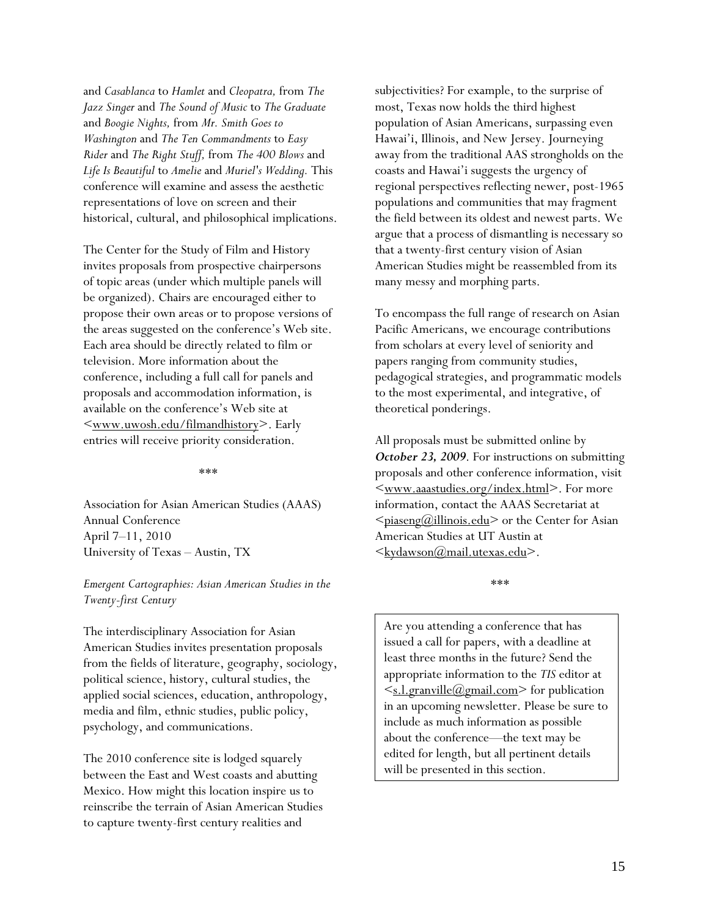and *Casablanca* to *Hamlet* and *Cleopatra,* from *The Jazz Singer* and *The Sound of Music* to *The Graduate*  and *Boogie Nights,* from *Mr. Smith Goes to Washington* and *The Ten Commandments* to *Easy Rider* and *The Right Stuff,* from *The 400 Blows* and *Life Is Beautiful* to *Amelie* and *Muriel's Wedding.* This conference will examine and assess the aesthetic representations of love on screen and their historical, cultural, and philosophical implications.

The Center for the Study of Film and History invites proposals from prospective chairpersons of topic areas (under which multiple panels will be organized). Chairs are encouraged either to propose their own areas or to propose versions of the areas suggested on the conference's Web site. Each area should be directly related to film or television. More information about the conference, including a full call for panels and proposals and accommodation information, is available on the conference's Web site at [<www.uwosh.edu/filmandhistory>](http://www.uwosh.edu/filmandhistory). Early entries will receive priority consideration.

\*\*\*

Association for Asian American Studies (AAAS) Annual Conference April 7–11, 2010 University of Texas – Austin, TX

## *Emergent Cartographies: Asian American Studies in the Twenty-first Century*

The interdisciplinary Association for Asian American Studies invites presentation proposals from the fields of literature, geography, sociology, political science, history, cultural studies, the applied social sciences, education, anthropology, media and film, ethnic studies, public policy, psychology, and communications.

The 2010 conference site is lodged squarely between the East and West coasts and abutting Mexico. How might this location inspire us to reinscribe the terrain of Asian American Studies to capture twenty-first century realities and

subjectivities? For example, to the surprise of most, Texas now holds the third highest population of Asian Americans, surpassing even Hawai'i, Illinois, and New Jersey. Journeying away from the traditional AAS strongholds on the coasts and Hawai'i suggests the urgency of regional perspectives reflecting newer, post-1965 populations and communities that may fragment the field between its oldest and newest parts. We argue that a process of dismantling is necessary so that a twenty-first century vision of Asian American Studies might be reassembled from its many messy and morphing parts.

To encompass the full range of research on Asian Pacific Americans, we encourage contributions from scholars at every level of seniority and papers ranging from community studies, pedagogical strategies, and programmatic models to the most experimental, and integrative, of theoretical ponderings.

All proposals must be submitted online by *October 23, 2009*. For instructions on submitting proposals and other conference information, visit [<www.aaastudies.org/index.html](http://www.aaastudies.org/index.html)>. For more information, contact the AAAS Secretariat at  $\leq$ piaseng@illinois.edu> or the Center for Asian American Studies at UT Austin at [<kydawson@mail.utexas.edu>](mailto:kydawson@mail.utexas.edu).

\*\*\*

Are you attending a conference that has issued a call for papers, with a deadline at least three months in the future? Send the appropriate information to the *TIS* editor at  $\leq$ [s.l.granville@gmail.com>](mailto:s.l.granville@gmail.com) for publication in an upcoming newsletter. Please be sure to include as much information as possible about the conference—the text may be edited for length, but all pertinent details will be presented in this section.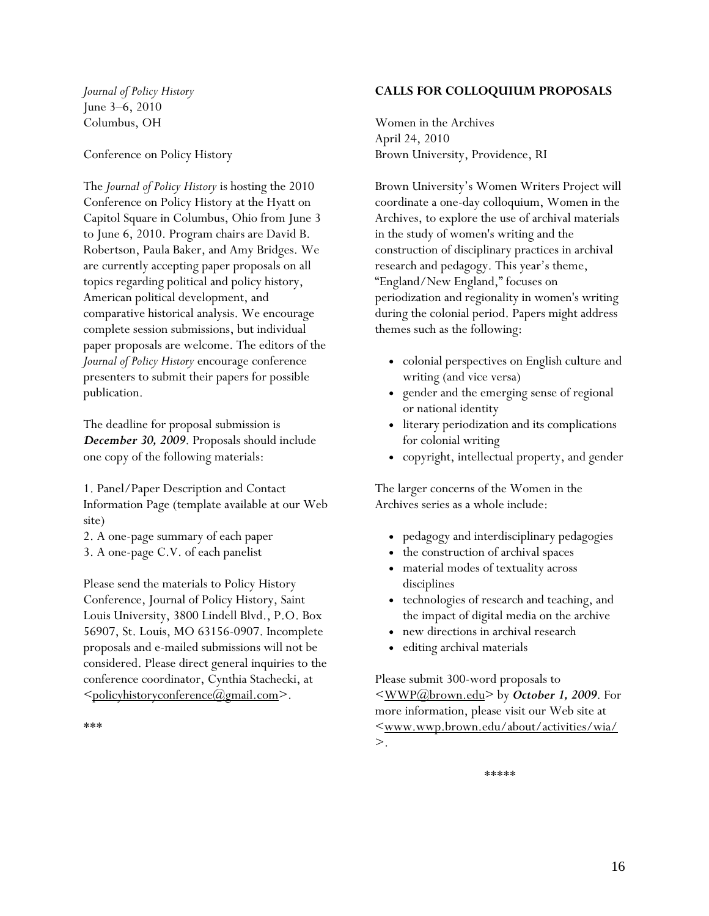*Journal of Policy History*  June 3–6, 2010 Columbus, OH

Conference on Policy History

The *Journal of Policy History* is hosting the 2010 Conference on Policy History at the Hyatt on Capitol Square in Columbus, Ohio from June 3 to June 6, 2010. Program chairs are David B. Robertson, Paula Baker, and Amy Bridges. We are currently accepting paper proposals on all topics regarding political and policy history, American political development, and comparative historical analysis. We encourage complete session submissions, but individual paper proposals are welcome. The editors of the *Journal of Policy History* encourage conference presenters to submit their papers for possible publication.

The deadline for proposal submission is *December 30, 2009*. Proposals should include one copy of the following materials:

1. Panel/Paper Description and Contact Information Page (template available at our Web site)

2. A one-page summary of each paper

3. A one-page C.V. of each panelist

Please send the materials to Policy History Conference, Journal of Policy History, Saint Louis University, 3800 Lindell Blvd., P.O. Box 56907, St. Louis, MO 63156-0907. Incomplete proposals and e-mailed submissions will not be considered. Please direct general inquiries to the conference coordinator, Cynthia Stachecki, at [<policyhistoryconference@gmail.com>](mailto:policyhistoryconference@gmail.com).

# **CALLS FOR COLLOQUIUM PROPOSALS**

Women in the Archives April 24, 2010 Brown University, Providence, RI

Brown University's Women Writers Project will coordinate a one-day colloquium, Women in the Archives, to explore the use of archival materials in the study of women's writing and the construction of disciplinary practices in archival research and pedagogy. This year's theme, "England/New England," focuses on periodization and regionality in women's writing during the colonial period. Papers might address themes such as the following:

- colonial perspectives on English culture and writing (and vice versa)
- gender and the emerging sense of regional or national identity
- literary periodization and its complications for colonial writing
- copyright, intellectual property, and gender

The larger concerns of the Women in the Archives series as a whole include:

- pedagogy and interdisciplinary pedagogies
- the construction of archival spaces
- material modes of textuality across disciplines
- technologies of research and teaching, and the impact of digital media on the archive
- new directions in archival research
- editing archival materials

Please submit 300-word proposals to [<WWP@brown.edu>](mailto:WWP@brown.edu) by *October 1, 2009*. For more information, please visit our Web site at [<www.wwp.brown.edu/about/activities/wia/](http://www.wwp.brown.edu/about/activities/wia/)  $>$ .

\*\*\*\*\*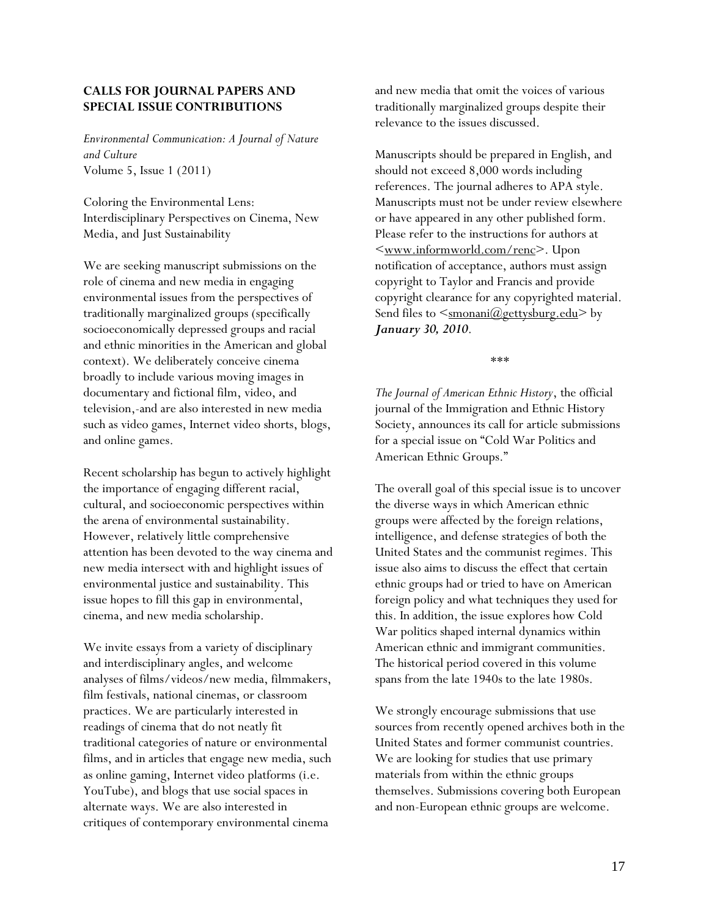# **CALLS FOR JOURNAL PAPERS AND SPECIAL ISSUE CONTRIBUTIONS**

*Environmental Communication: A Journal of Nature and Culture*  Volume 5, Issue 1 (2011)

Coloring the Environmental Lens: Interdisciplinary Perspectives on Cinema, New Media, and Just Sustainability

We are seeking manuscript submissions on the role of cinema and new media in engaging environmental issues from the perspectives of traditionally marginalized groups (specifically socioeconomically depressed groups and racial and ethnic minorities in the American and global context). We deliberately conceive cinema broadly to include various moving images in documentary and fictional film, video, and television,-and are also interested in new media such as video games, Internet video shorts, blogs, and online games.

Recent scholarship has begun to actively highlight the importance of engaging different racial, cultural, and socioeconomic perspectives within the arena of environmental sustainability. However, relatively little comprehensive attention has been devoted to the way cinema and new media intersect with and highlight issues of environmental justice and sustainability. This issue hopes to fill this gap in environmental, cinema, and new media scholarship.

We invite essays from a variety of disciplinary and interdisciplinary angles, and welcome analyses of films/videos/new media, filmmakers, film festivals, national cinemas, or classroom practices. We are particularly interested in readings of cinema that do not neatly fit traditional categories of nature or environmental films, and in articles that engage new media, such as online gaming, Internet video platforms (i.e. YouTube), and blogs that use social spaces in alternate ways. We are also interested in critiques of contemporary environmental cinema

and new media that omit the voices of various traditionally marginalized groups despite their relevance to the issues discussed.

Manuscripts should be prepared in English, and should not exceed 8,000 words including references. The journal adheres to APA style. Manuscripts must not be under review elsewhere or have appeared in any other published form. Please refer to the instructions for authors at [<www.informworld.com/renc>](http://www.informworld.com/renc). Upon notification of acceptance, authors must assign copyright to Taylor and Francis and provide copyright clearance for any copyrighted material. Send files to  $\leq$ <u>smonani@gettysburg.edu</u>> by *January 30, 2010*.

\*\*\*

*The Journal of American Ethnic History*, the official journal of the Immigration and Ethnic History Society, announces its call for article submissions for a special issue on "Cold War Politics and American Ethnic Groups."

The overall goal of this special issue is to uncover the diverse ways in which American ethnic groups were affected by the foreign relations, intelligence, and defense strategies of both the United States and the communist regimes. This issue also aims to discuss the effect that certain ethnic groups had or tried to have on American foreign policy and what techniques they used for this. In addition, the issue explores how Cold War politics shaped internal dynamics within American ethnic and immigrant communities. The historical period covered in this volume spans from the late 1940s to the late 1980s.

We strongly encourage submissions that use sources from recently opened archives both in the United States and former communist countries. We are looking for studies that use primary materials from within the ethnic groups themselves. Submissions covering both European and non-European ethnic groups are welcome.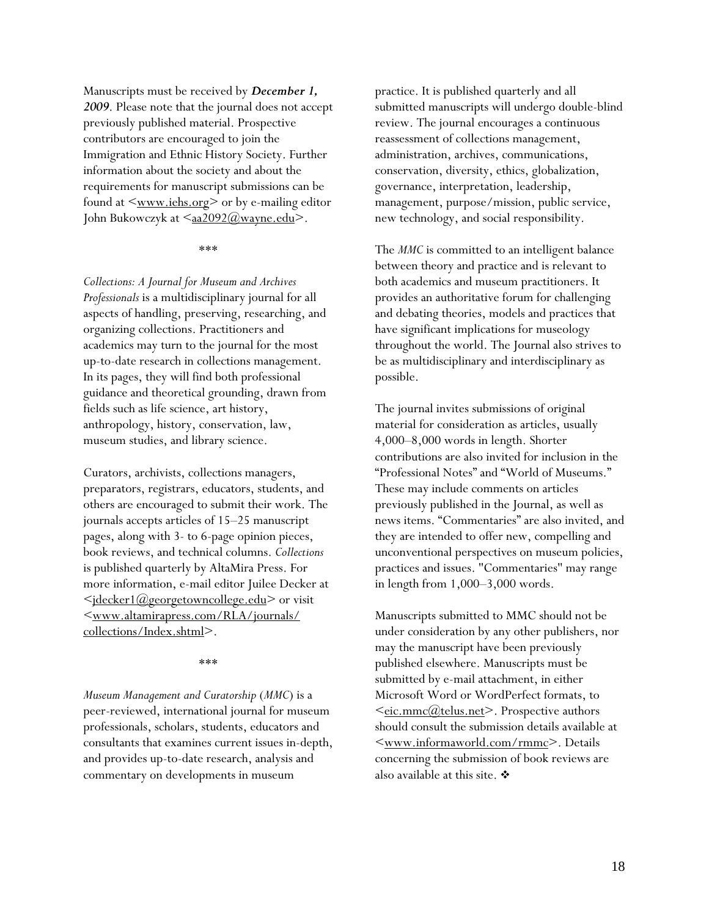Manuscripts must be received by *December 1, 2009*. Please note that the journal does not accept previously published material. Prospective contributors are encouraged to join the Immigration and Ethnic History Society. Further information about the society and about the requirements for manuscript submissions can be found at  $\leq$  www.iehs.org  $>$  or by e-mailing editor John Bukowczyk at  $\langle \frac{\text{aa2092}}{\text{a} \times \text{a} \times \text{ca2092}} \rangle$ .

#### \*\*\*

*Collections: A Journal for Museum and Archives Professionals* is a multidisciplinary journal for all aspects of handling, preserving, researching, and organizing collections. Practitioners and academics may turn to the journal for the most up-to-date research in collections management. In its pages, they will find both professional guidance and theoretical grounding, drawn from fields such as life science, art history, anthropology, history, conservation, law, museum studies, and library science.

Curators, archivists, collections managers, preparators, registrars, educators, students, and others are encouraged to submit their work. The journals accepts articles of 15–25 manuscript pages, along with 3- to 6-page opinion pieces, book reviews, and technical columns. *Collections*  is published quarterly by AltaMira Press. For more information, e-mail editor Juilee Decker at  $\leq$ <u>idecker1@georgetowncollege.edu</u>> or visit [<www.altamirapress.com/RLA/journals/](http://www.altamirapress.com/RLA/journals/%0Bcollections/Index.shtml) [collections/Index.shtml](http://www.altamirapress.com/RLA/journals/%0Bcollections/Index.shtml)>.

#### \*\*\*

*Museum Management and Curatorship* (*MMC*) is a peer-reviewed, international journal for museum professionals, scholars, students, educators and consultants that examines current issues in-depth, and provides up-to-date research, analysis and commentary on developments in museum

practice. It is published quarterly and all submitted manuscripts will undergo double-blind review. The journal encourages a continuous reassessment of collections management, administration, archives, communications, conservation, diversity, ethics, globalization, governance, interpretation, leadership, management, purpose/mission, public service, new technology, and social responsibility.

The *MMC* is committed to an intelligent balance between theory and practice and is relevant to both academics and museum practitioners. It provides an authoritative forum for challenging and debating theories, models and practices that have significant implications for museology throughout the world. The Journal also strives to be as multidisciplinary and interdisciplinary as possible.

The journal invites submissions of original material for consideration as articles, usually 4,000–8,000 words in length. Shorter contributions are also invited for inclusion in the "Professional Notes" and "World of Museums." These may include comments on articles previously published in the Journal, as well as news items. "Commentaries" are also invited, and they are intended to offer new, compelling and unconventional perspectives on museum policies, practices and issues. ''Commentaries'' may range in length from 1,000–3,000 words.

Manuscripts submitted to MMC should not be under consideration by any other publishers, nor may the manuscript have been previously published elsewhere. Manuscripts must be submitted by e-mail attachment, in either Microsoft Word or WordPerfect formats, to ≤eic.mmc@telus.net>. Prospective authors should consult the submission details available at [<www.informaworld.com/rmmc>](http://www.informaworld.com/rmmc). Details concerning the submission of book reviews are also available at this site.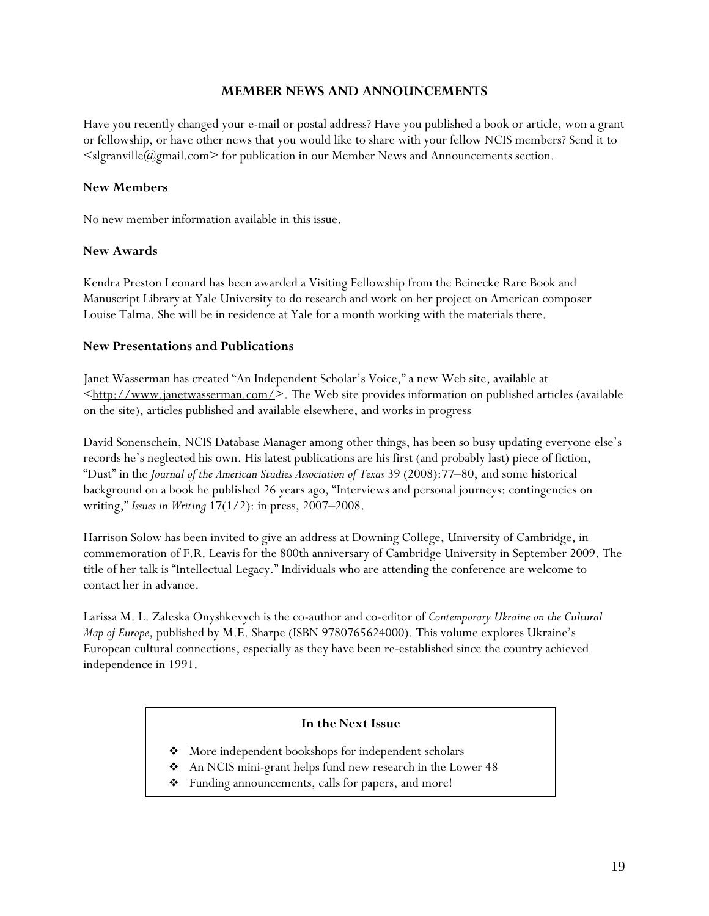# **MEMBER NEWS AND ANNOUNCEMENTS**

<span id="page-18-0"></span>Have you recently changed your e-mail or postal address? Have you published a book or article, won a grant or fellowship, or have other news that you would like to share with your fellow NCIS members? Send it to  $\leq$ slgranville $(a)$ gmail.com $\geq$  for publication in our Member News and Announcements section.

# **New Members**

No new member information available in this issue.

# **New Awards**

Kendra Preston Leonard has been awarded a Visiting Fellowship from the Beinecke Rare Book and Manuscript Library at Yale University to do research and work on her project on American composer Louise Talma. She will be in residence at Yale for a month working with the materials there.

# **New Presentations and Publications**

Janet Wasserman has created "An Independent Scholar's Voice," a new Web site, available at  $\leq$ http://www.janetwasserman.com/>. The Web site provides information on published articles (available on the site), articles published and available elsewhere, and works in progress

David Sonenschein, NCIS Database Manager among other things, has been so busy updating everyone else's records he's neglected his own. His latest publications are his first (and probably last) piece of fiction, "Dust" in the *Journal of the American Studies Association of Texas* 39 (2008):77–80, and some historical background on a book he published 26 years ago, "Interviews and personal journeys: contingencies on writing," *Issues in Writing* 17(1/2): in press, 2007–2008.

Harrison Solow has been invited to give an address at Downing College, University of Cambridge, in commemoration of F.R. Leavis for the 800th anniversary of Cambridge University in September 2009. The title of her talk is "Intellectual Legacy." Individuals who are attending the conference are welcome to contact her in advance.

Larissa M. L. Zaleska Onyshkevych is the co-author and co-editor of *Contemporary Ukraine on the Cultural Map of Europe*, published by M.E. Sharpe (ISBN 9780765624000). This volume explores Ukraine's European cultural connections, especially as they have been re-established since the country achieved independence in 1991.

# **In the Next Issue**

- More independent bookshops for independent scholars
- An NCIS mini-grant helps fund new research in the Lower 48
- Funding announcements, calls for papers, and more!